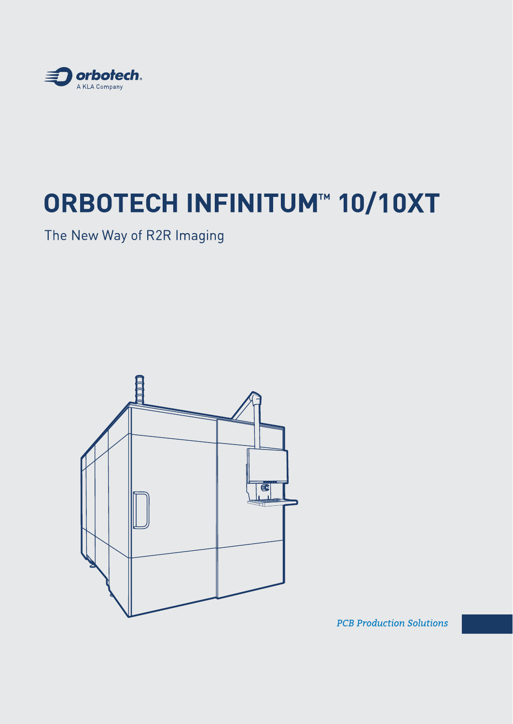

# **ORBOTECH INFINITUM™ 10/10XT**

The New Way of R2R Imaging



**PCB Production Solutions**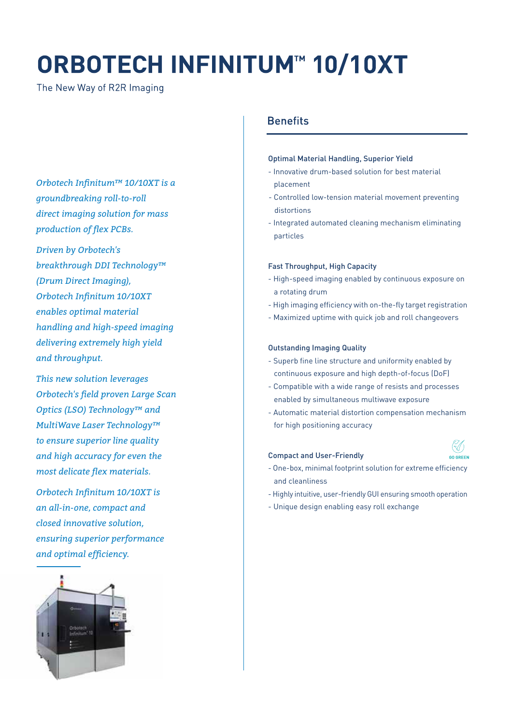## **ORBOTECH INFINITUM™ 10/10XT**

The New Way of R2R Imaging

*Orbotech Infinitum™ 10/10XT is a groundbreaking roll-to-roll direct imaging solution for mass production of flex PCBs.* 

*Driven by Orbotech's breakthrough DDI Technology™ (Drum Direct Imaging), Orbotech Infinitum 10/10XT enables optimal material handling and high-speed imaging delivering extremely high yield and throughput.*

*This new solution leverages Orbotech's field proven Large Scan Optics (LSO) Technology™ and MultiWave Laser Technology™ to ensure superior line quality and high accuracy for even the most delicate flex materials.*

*Orbotech Infinitum 10/10XT is an all-in-one, compact and closed innovative solution, ensuring superior performance and optimal efficiency.*



#### **Benefits**

#### Optimal Material Handling, Superior Yield

- Innovative drum-based solution for best material placement
- Controlled low-tension material movement preventing distortions
- Integrated automated cleaning mechanism eliminating particles

#### Fast Throughput, High Capacity

- High-speed imaging enabled by continuous exposure on a rotating drum
- High imaging efficiency with on-the-fly target registration
- Maximized uptime with quick job and roll changeovers

#### Outstanding Imaging Quality

- Superb fine line structure and uniformity enabled by continuous exposure and high depth-of-focus (DoF)
- Compatible with a wide range of resists and processes enabled by simultaneous multiwave exposure
- Automatic material distortion compensation mechanism for high positioning accuracy

#### Compact and User-Friendly



- One-box, minimal footprint solution for extreme efficiency and cleanliness
- Highly intuitive, user-friendly GUI ensuring smooth operation
- Unique design enabling easy roll exchange